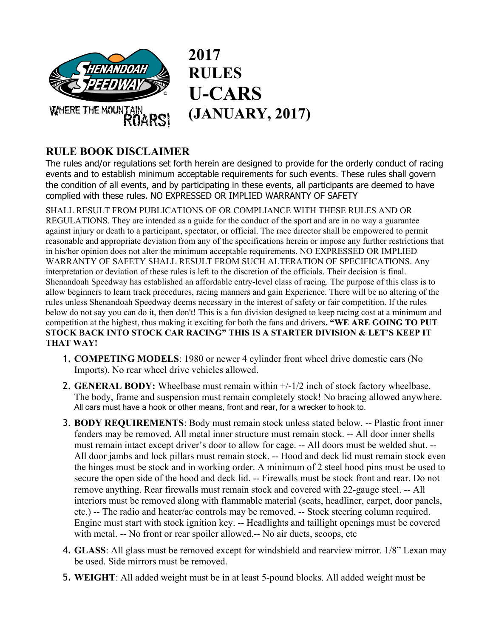

**2017 RULES U-CARS (JANUARY, 2017)** 

## **RULE BOOK DISCLAIMER**

The rules and/or regulations set forth herein are designed to provide for the orderly conduct of racing events and to establish minimum acceptable requirements for such events. These rules shall govern the condition of all events, and by participating in these events, all participants are deemed to have complied with these rules. NO EXPRESSED OR IMPLIED WARRANTY OF SAFETY

SHALL RESULT FROM PUBLICATIONS OF OR COMPLIANCE WITH THESE RULES AND OR REGULATIONS. They are intended as a guide for the conduct of the sport and are in no way a guarantee against injury or death to a participant, spectator, or official. The race director shall be empowered to permit reasonable and appropriate deviation from any of the specifications herein or impose any further restrictions that in his/her opinion does not alter the minimum acceptable requirements. NO EXPRESSED OR IMPLIED WARRANTY OF SAFETY SHALL RESULT FROM SUCH ALTERATION OF SPECIFICATIONS. Any interpretation or deviation of these rules is left to the discretion of the officials. Their decision is final. Shenandoah Speedway has established an affordable entry-level class of racing. The purpose of this class is to allow beginners to learn track procedures, racing manners and gain Experience. There will be no altering of the rules unless Shenandoah Speedway deems necessary in the interest of safety or fair competition. If the rules below do not say you can do it, then don't! This is a fun division designed to keep racing cost at a minimum and competition at the highest, thus making it exciting for both the fans and drivers**. "WE ARE GOING TO PUT STOCK BACK INTO STOCK CAR RACING" THIS IS A STARTER DIVISION & LET'S KEEP IT THAT WAY!** 

- 1. **COMPETING MODELS**: 1980 or newer 4 cylinder front wheel drive domestic cars (No Imports). No rear wheel drive vehicles allowed.
- 2. **GENERAL BODY:** Wheelbase must remain within +/-1/2 inch of stock factory wheelbase. The body, frame and suspension must remain completely stock! No bracing allowed anywhere. All cars must have a hook or other means, front and rear, for a wrecker to hook to.
- 3. **BODY REQUIREMENTS**: Body must remain stock unless stated below. -- Plastic front inner fenders may be removed. All metal inner structure must remain stock. -- All door inner shells must remain intact except driver's door to allow for cage. -- All doors must be welded shut. -- All door jambs and lock pillars must remain stock. -- Hood and deck lid must remain stock even the hinges must be stock and in working order. A minimum of 2 steel hood pins must be used to secure the open side of the hood and deck lid. -- Firewalls must be stock front and rear. Do not remove anything. Rear firewalls must remain stock and covered with 22-gauge steel. -- All interiors must be removed along with flammable material (seats, headliner, carpet, door panels, etc.) -- The radio and heater/ac controls may be removed. -- Stock steering column required. Engine must start with stock ignition key. -- Headlights and taillight openings must be covered with metal. -- No front or rear spoiler allowed.-- No air ducts, scoops, etc
- 4. **GLASS**: All glass must be removed except for windshield and rearview mirror. 1/8" Lexan may be used. Side mirrors must be removed.
- 5. **WEIGHT**: All added weight must be in at least 5-pound blocks. All added weight must be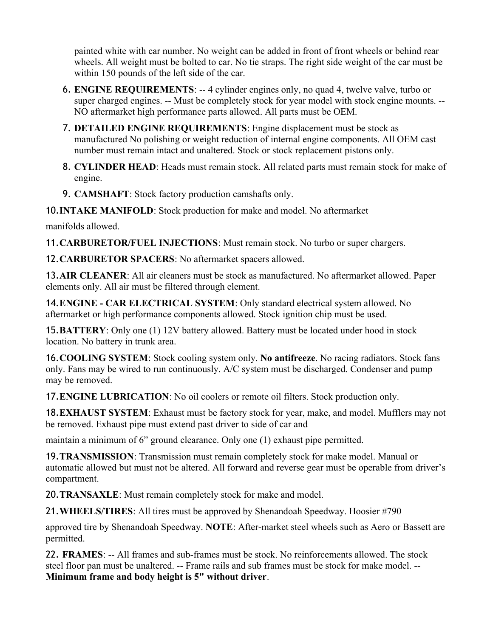painted white with car number. No weight can be added in front of front wheels or behind rear wheels. All weight must be bolted to car. No tie straps. The right side weight of the car must be within 150 pounds of the left side of the car.

- 6. **ENGINE REQUIREMENTS**: -- 4 cylinder engines only, no quad 4, twelve valve, turbo or super charged engines. -- Must be completely stock for year model with stock engine mounts. -- NO aftermarket high performance parts allowed. All parts must be OEM.
- 7. **DETAILED ENGINE REQUIREMENTS**: Engine displacement must be stock as manufactured No polishing or weight reduction of internal engine components. All OEM cast number must remain intact and unaltered. Stock or stock replacement pistons only.
- 8. **CYLINDER HEAD**: Heads must remain stock. All related parts must remain stock for make of engine.
- 9. **CAMSHAFT**: Stock factory production camshafts only.

10.**INTAKE MANIFOLD**: Stock production for make and model. No aftermarket

manifolds allowed.

11.**CARBURETOR/FUEL INJECTIONS**: Must remain stock. No turbo or super chargers.

12.**CARBURETOR SPACERS**: No aftermarket spacers allowed.

13.**AIR CLEANER**: All air cleaners must be stock as manufactured. No aftermarket allowed. Paper elements only. All air must be filtered through element.

14.**ENGINE - CAR ELECTRICAL SYSTEM**: Only standard electrical system allowed. No aftermarket or high performance components allowed. Stock ignition chip must be used.

15.**BATTERY**: Only one (1) 12V battery allowed. Battery must be located under hood in stock location. No battery in trunk area.

16.**COOLING SYSTEM**: Stock cooling system only. **No antifreeze**. No racing radiators. Stock fans only. Fans may be wired to run continuously. A/C system must be discharged. Condenser and pump may be removed.

17.**ENGINE LUBRICATION**: No oil coolers or remote oil filters. Stock production only.

18.**EXHAUST SYSTEM**: Exhaust must be factory stock for year, make, and model. Mufflers may not be removed. Exhaust pipe must extend past driver to side of car and

maintain a minimum of 6" ground clearance. Only one (1) exhaust pipe permitted.

19.**TRANSMISSION**: Transmission must remain completely stock for make model. Manual or automatic allowed but must not be altered. All forward and reverse gear must be operable from driver's compartment.

20.**TRANSAXLE**: Must remain completely stock for make and model.

21.**WHEELS/TIRES**: All tires must be approved by Shenandoah Speedway. Hoosier #790

approved tire by Shenandoah Speedway. **NOTE**: After-market steel wheels such as Aero or Bassett are permitted.

22. **FRAMES**: -- All frames and sub-frames must be stock. No reinforcements allowed. The stock steel floor pan must be unaltered. -- Frame rails and sub frames must be stock for make model. -- **Minimum frame and body height is 5" without driver**.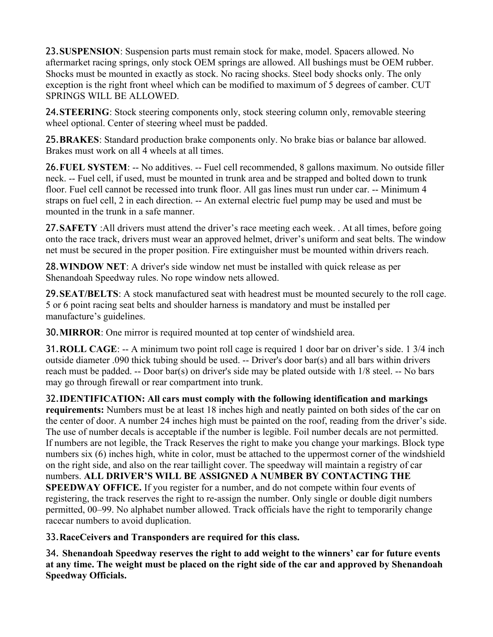23.**SUSPENSION**: Suspension parts must remain stock for make, model. Spacers allowed. No aftermarket racing springs, only stock OEM springs are allowed. All bushings must be OEM rubber. Shocks must be mounted in exactly as stock. No racing shocks. Steel body shocks only. The only exception is the right front wheel which can be modified to maximum of 5 degrees of camber. CUT SPRINGS WILL BE ALLOWED.

24.**STEERING**: Stock steering components only, stock steering column only, removable steering wheel optional. Center of steering wheel must be padded.

25.**BRAKES**: Standard production brake components only. No brake bias or balance bar allowed. Brakes must work on all 4 wheels at all times.

26.**FUEL SYSTEM**: -- No additives. -- Fuel cell recommended, 8 gallons maximum. No outside filler neck. -- Fuel cell, if used, must be mounted in trunk area and be strapped and bolted down to trunk floor. Fuel cell cannot be recessed into trunk floor. All gas lines must run under car. -- Minimum 4 straps on fuel cell, 2 in each direction. -- An external electric fuel pump may be used and must be mounted in the trunk in a safe manner.

27.**SAFETY** :All drivers must attend the driver's race meeting each week. . At all times, before going onto the race track, drivers must wear an approved helmet, driver's uniform and seat belts. The window net must be secured in the proper position. Fire extinguisher must be mounted within drivers reach.

28.**WINDOW NET**: A driver's side window net must be installed with quick release as per Shenandoah Speedway rules. No rope window nets allowed.

29.**SEAT/BELTS**: A stock manufactured seat with headrest must be mounted securely to the roll cage. 5 or 6 point racing seat belts and shoulder harness is mandatory and must be installed per manufacture's guidelines.

30.**MIRROR**: One mirror is required mounted at top center of windshield area.

31.**ROLL CAGE**: -- A minimum two point roll cage is required 1 door bar on driver's side. 1 3/4 inch outside diameter .090 thick tubing should be used. -- Driver's door bar(s) and all bars within drivers reach must be padded. -- Door bar(s) on driver's side may be plated outside with 1/8 steel. -- No bars may go through firewall or rear compartment into trunk.

32.**IDENTIFICATION: All cars must comply with the following identification and markings requirements:** Numbers must be at least 18 inches high and neatly painted on both sides of the car on the center of door. A number 24 inches high must be painted on the roof, reading from the driver's side. The use of number decals is acceptable if the number is legible. Foil number decals are not permitted. If numbers are not legible, the Track Reserves the right to make you change your markings. Block type numbers six (6) inches high, white in color, must be attached to the uppermost corner of the windshield on the right side, and also on the rear taillight cover. The speedway will maintain a registry of car numbers. **ALL DRIVER'S WILL BE ASSIGNED A NUMBER BY CONTACTING THE SPEEDWAY OFFICE.** If you register for a number, and do not compete within four events of registering, the track reserves the right to re-assign the number. Only single or double digit numbers permitted, 00–99. No alphabet number allowed. Track officials have the right to temporarily change racecar numbers to avoid duplication.

33.**RaceCeivers and Transponders are required for this class.** 

34. **Shenandoah Speedway reserves the right to add weight to the winners' car for future events at any time. The weight must be placed on the right side of the car and approved by Shenandoah Speedway Officials.**